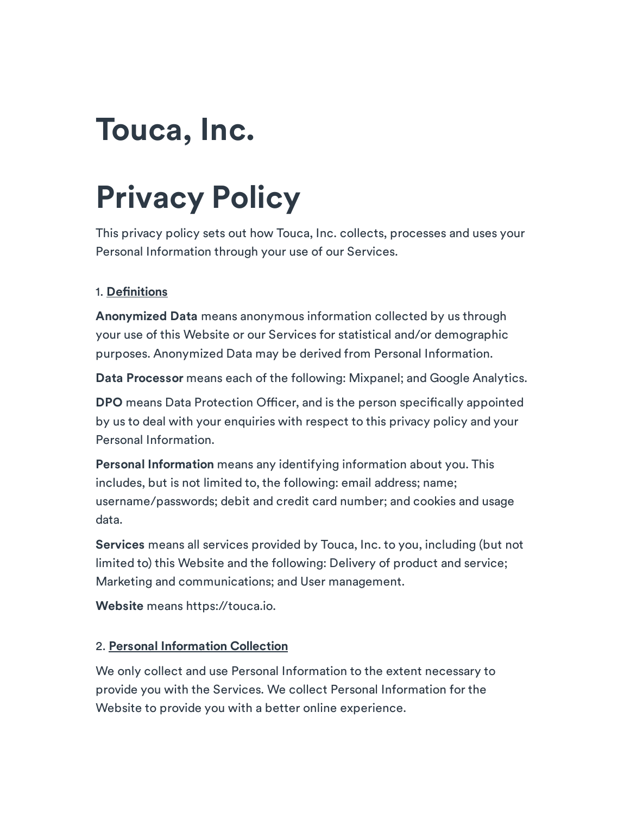## Touca, Inc.

# Privacy Policy

This privacy policy sets out how Touca, Inc. collects, processes and uses your Personal Information through your use of our Services.

## 1. Definitions

Anonymized Data means anonymous information collected by us through your use of this Website or our Services for statistical and/or demographic purposes. Anonymized Data may be derived from Personal Information.

Data Processor means each of the following: Mixpanel; and Google Analytics.

DPO means Data Protection Officer, and is the person specifically appointed by us to deal with your enquiries with respect to this privacy policy and your Personal Information.

Personal Information means any identifying information about you. This includes, but is not limited to, the following: email address; name; username/passwords; debit and credit card number; and cookies and usage data.

Services means all services provided by Touca, Inc. to you, including (but not limited to) this Website and the following: Delivery of product and service; Marketing and communications; and User management.

Website means https://touca.io.

## 2. Personal Information Collection

We only collect and use Personal Information to the extent necessary to provide you with the Services. We collect Personal Information for the Website to provide you with a better online experience.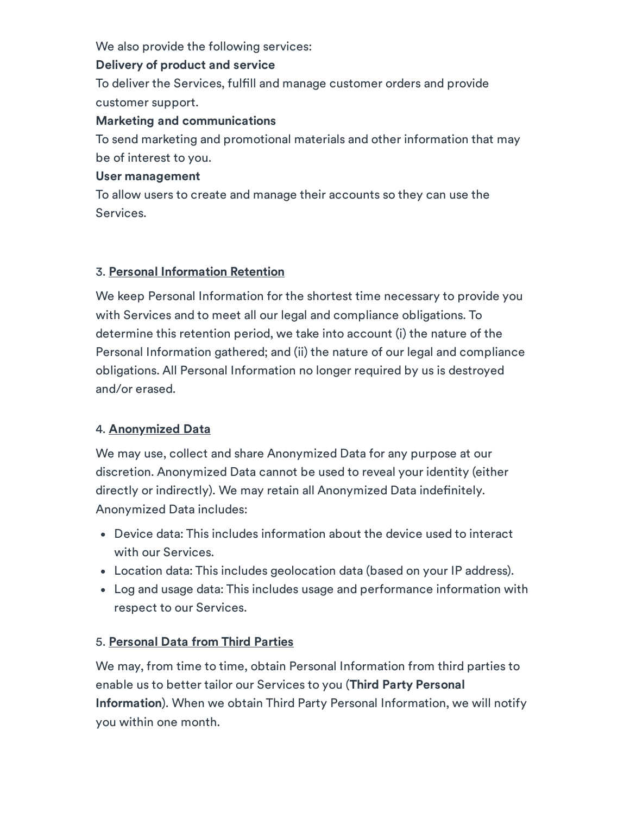We also provide the following services:

#### Delivery of product and service

To deliver the Services, fulfill and manage customer orders and provide customer support.

#### Marketing and communications

To send marketing and promotional materials and other information that may be of interest to you.

#### User management

To allow users to create and manage their accounts so they can use the Services.

## 3. Personal Information Retention

We keep Personal Information for the shortest time necessary to provide you with Services and to meet all our legal and compliance obligations. To determine this retention period, we take into account (i) the nature of the Personal Information gathered; and (ii) the nature of our legal and compliance obligations. All Personal Information no longer required by us is destroyed and/or erased.

## 4. Anonymized Data

We may use, collect and share Anonymized Data for any purpose at our discretion. Anonymized Data cannot be used to reveal your identity (either directly or indirectly). We may retain all Anonymized Data indefinitely. Anonymized Data includes:

- Device data: This includes information about the device used to interact with our Services.
- Location data: This includes geolocation data (based on your IP address).
- Log and usage data: This includes usage and performance information with respect to our Services.

## 5. Personal Data from Third Parties

We may, from time to time, obtain Personal Information from third parties to enable us to better tailor our Services to you (Third Party Personal Information). When we obtain Third Party Personal Information, we will notify you within one month.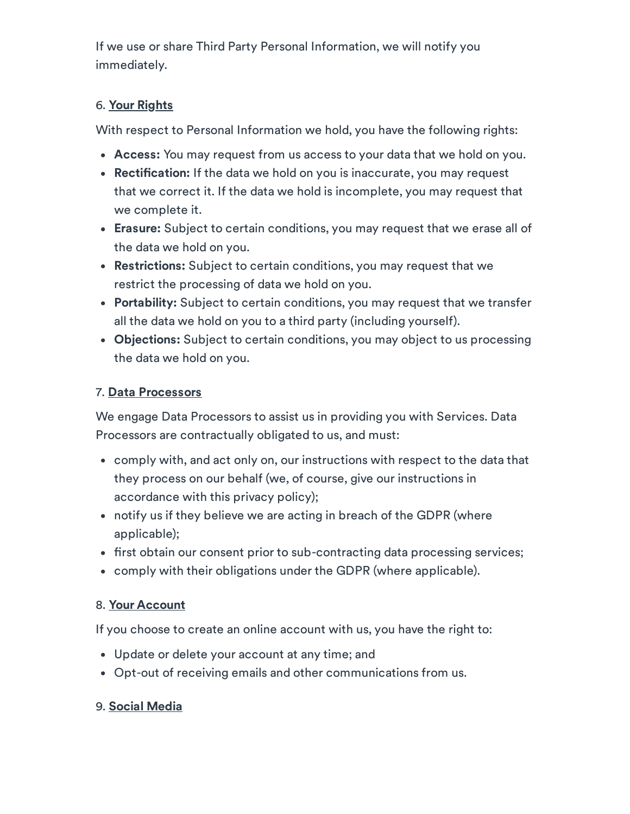If we use or share Third Party Personal Information, we will notify you immediately.

## 6. Your Rights

With respect to Personal Information we hold, you have the following rights:

- Access: You may request from us access to your data that we hold on you.
- Rectification: If the data we hold on you is inaccurate, you may request that we correct it. If the data we hold is incomplete, you may request that we complete it.
- Erasure: Subject to certain conditions, you may request that we erase all of the data we hold on you.
- Restrictions: Subject to certain conditions, you may request that we restrict the processing of data we hold on you.
- Portability: Subject to certain conditions, you may request that we transfer all the data we hold on you to a third party (including yourself).
- Objections: Subject to certain conditions, you may object to us processing the data we hold on you.

## 7. Data Processors

We engage Data Processors to assist us in providing you with Services. Data Processors are contractually obligated to us, and must:

- comply with, and act only on, our instructions with respect to the data that they process on our behalf (we, of course, give our instructions in accordance with this privacy policy);
- notify us if they believe we are acting in breach of the GDPR (where applicable);
- first obtain our consent prior to sub-contracting data processing services;
- comply with their obligations under the GDPR (where applicable).

## 8. Your Account

If you choose to create an online account with us, you have the right to:

- Update or delete your account at any time; and
- Opt-out of receiving emails and other communications from us.

## 9. Social Media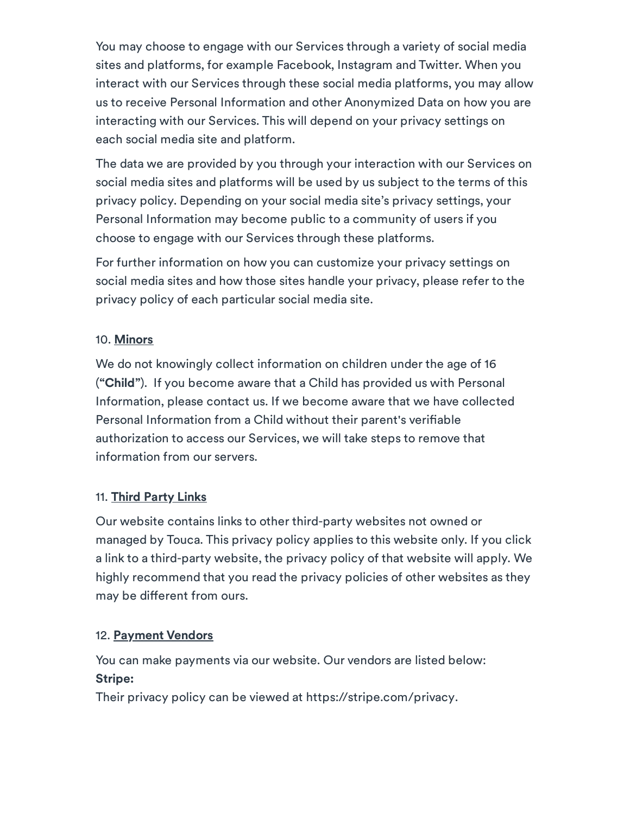You may choose to engage with our Services through a variety of social media sites and platforms, for example Facebook, Instagram and Twitter. When you interact with our Services through these social media platforms, you may allow us to receive Personal Information and other Anonymized Data on how you are interacting with our Services. This will depend on your privacy settings on each social media site and platform.

The data we are provided by you through your interaction with our Services on social media sites and platforms will be used by us subject to the terms of this privacy policy. Depending on your social media site's privacy settings, your Personal Information may become public to a community of users if you choose to engage with our Services through these platforms.

For further information on how you can customize your privacy settings on social media sites and how those sites handle your privacy, please refer to the privacy policy of each particular social media site.

## 10. Minors

We do not knowingly collect information on children under the age of 16 ("Child"). If you become aware that a Child has provided us with Personal Information, please contact us. If we become aware that we have collected Personal Information from a Child without their parent's verifiable authorization to access our Services, we will take steps to remove that information from our servers.

## 11. Third Party Links

Our website contains links to other third-party websites not owned or managed by Touca. This privacy policy applies to this website only. If you click a link to a third-party website, the privacy policy of that website will apply. We highly recommend that you read the privacy policies of other websites as they may be different from ours.

## 12. Payment Vendors

You can make payments via our website. Our vendors are listed below: Stripe:

Their privacy policy can be viewed at https://stripe.com/privacy.